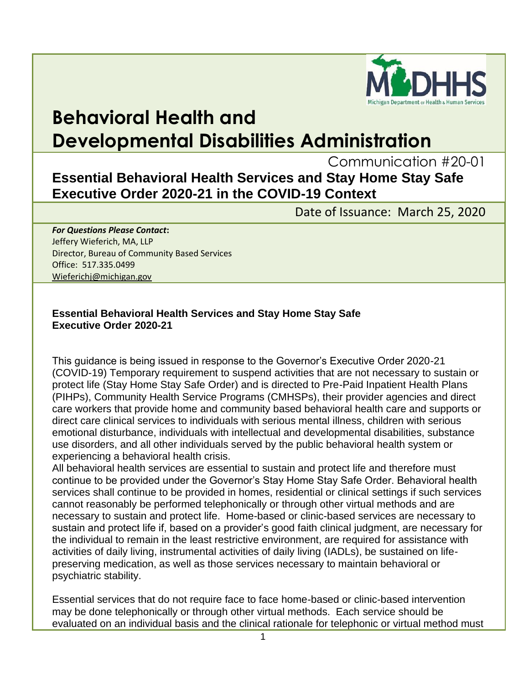

## **Behavioral Health and Developmental Disabilities Administration**

Communication #20-01

## **Essential Behavioral Health Services and Stay Home Stay Safe Executive Order 2020-21 in the COVID-19 Context**

Date of Issuance: March 25, 2020

## *For Questions Please Contact***:** Jeffery Wieferich, MA, LLP Director, Bureau of Community Based Services Office: 517.335.0499 [Wieferichj@michigan.gov](mailto:Wieferichj@michigan.gov)

## **Essential Behavioral Health Services and Stay Home Stay Safe Executive Order 2020-21**

This guidance is being issued in response to the Governor's Executive Order 2020-21 (COVID-19) Temporary requirement to suspend activities that are not necessary to sustain or protect life (Stay Home Stay Safe Order) and is directed to Pre-Paid Inpatient Health Plans (PIHPs), Community Health Service Programs (CMHSPs), their provider agencies and direct care workers that provide home and community based behavioral health care and supports or direct care clinical services to individuals with serious mental illness, children with serious emotional disturbance, individuals with intellectual and developmental disabilities, substance use disorders, and all other individuals served by the public behavioral health system or experiencing a behavioral health crisis.

All behavioral health services are essential to sustain and protect life and therefore must continue to be provided under the Governor's Stay Home Stay Safe Order. Behavioral health services shall continue to be provided in homes, residential or clinical settings if such services cannot reasonably be performed telephonically or through other virtual methods and are necessary to sustain and protect life. Home-based or clinic-based services are necessary to sustain and protect life if, based on a provider's good faith clinical judgment, are necessary for the individual to remain in the least restrictive environment, are required for assistance with activities of daily living, instrumental activities of daily living (IADLs), be sustained on lifepreserving medication, as well as those services necessary to maintain behavioral or psychiatric stability.

Essential services that do not require face to face home-based or clinic-based intervention may be done telephonically or through other virtual methods. Each service should be evaluated on an individual basis and the clinical rationale for telephonic or virtual method must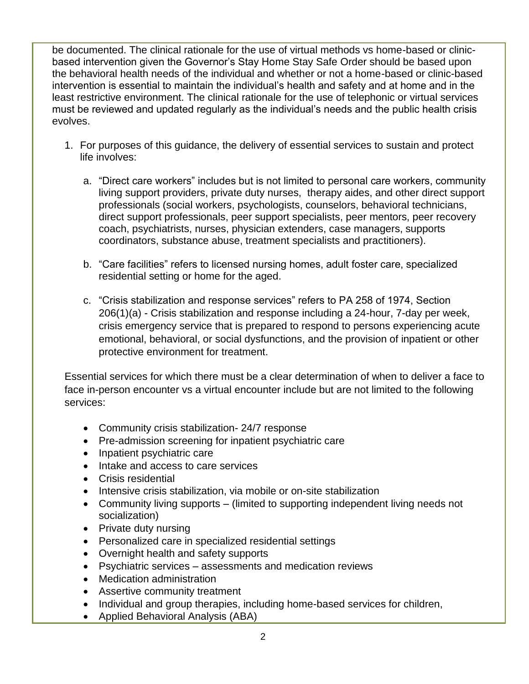be documented. The clinical rationale for the use of virtual methods vs home-based or clinicbased intervention given the Governor's Stay Home Stay Safe Order should be based upon the behavioral health needs of the individual and whether or not a home-based or clinic-based intervention is essential to maintain the individual's health and safety and at home and in the least restrictive environment. The clinical rationale for the use of telephonic or virtual services must be reviewed and updated regularly as the individual's needs and the public health crisis evolves.

- 1. For purposes of this guidance, the delivery of essential services to sustain and protect life involves:
	- a. "Direct care workers" includes but is not limited to personal care workers, community living support providers, private duty nurses, therapy aides, and other direct support professionals (social workers, psychologists, counselors, behavioral technicians, direct support professionals, peer support specialists, peer mentors, peer recovery coach, psychiatrists, nurses, physician extenders, case managers, supports coordinators, substance abuse, treatment specialists and practitioners).
	- b. "Care facilities" refers to licensed nursing homes, adult foster care, specialized residential setting or home for the aged.
	- c. "Crisis stabilization and response services" refers to PA 258 of 1974, Section 206(1)(a) - Crisis stabilization and response including a 24-hour, 7-day per week, crisis emergency service that is prepared to respond to persons experiencing acute emotional, behavioral, or social dysfunctions, and the provision of inpatient or other protective environment for treatment.

Essential services for which there must be a clear determination of when to deliver a face to face in-person encounter vs a virtual encounter include but are not limited to the following services:

- Community crisis stabilization- 24/7 response
- Pre-admission screening for inpatient psychiatric care
- Inpatient psychiatric care
- Intake and access to care services
- Crisis residential
- Intensive crisis stabilization, via mobile or on-site stabilization
- Community living supports (limited to supporting independent living needs not socialization)
- Private duty nursing
- Personalized care in specialized residential settings
- Overnight health and safety supports
- Psychiatric services assessments and medication reviews
- Medication administration
- Assertive community treatment
- Individual and group therapies, including home-based services for children,
- Applied Behavioral Analysis (ABA)